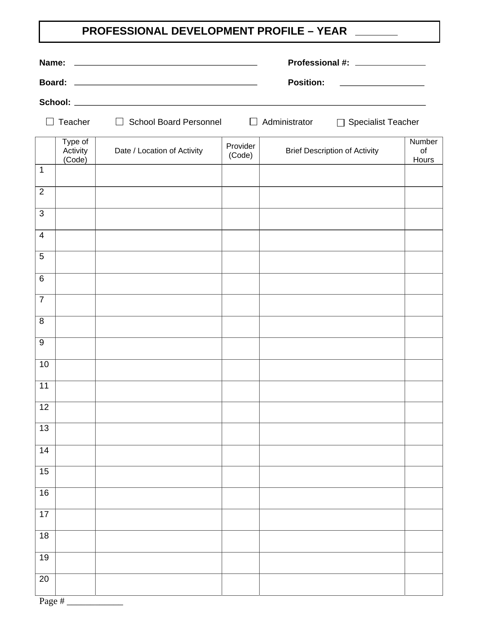## **PROFESSIONAL DEVELOPMENT PROFILE – YEAR**

|                  |                                                                      |                             |                    | Professional #: _______________                                             |                       |  |  |
|------------------|----------------------------------------------------------------------|-----------------------------|--------------------|-----------------------------------------------------------------------------|-----------------------|--|--|
|                  |                                                                      |                             |                    | <b>Position:</b><br><u> 1989 - Andrea State Barbara, política establece</u> |                       |  |  |
|                  |                                                                      |                             |                    |                                                                             |                       |  |  |
|                  | $\Box$ School Board Personnel $\Box$ Administrator<br>$\Box$ Teacher |                             |                    | □ Specialist Teacher                                                        |                       |  |  |
|                  | Type of<br>Activity<br>(Code)                                        | Date / Location of Activity | Provider<br>(Code) | <b>Brief Description of Activity</b>                                        | Number<br>of<br>Hours |  |  |
| $\mathbf 1$      |                                                                      |                             |                    |                                                                             |                       |  |  |
| $\overline{2}$   |                                                                      |                             |                    |                                                                             |                       |  |  |
| 3                |                                                                      |                             |                    |                                                                             |                       |  |  |
| $\overline{4}$   |                                                                      |                             |                    |                                                                             |                       |  |  |
| 5                |                                                                      |                             |                    |                                                                             |                       |  |  |
| $\,6\,$          |                                                                      |                             |                    |                                                                             |                       |  |  |
| $\overline{7}$   |                                                                      |                             |                    |                                                                             |                       |  |  |
| 8                |                                                                      |                             |                    |                                                                             |                       |  |  |
| $\boldsymbol{9}$ |                                                                      |                             |                    |                                                                             |                       |  |  |
| 10               |                                                                      |                             |                    |                                                                             |                       |  |  |
| 11               |                                                                      |                             |                    |                                                                             |                       |  |  |
| 12               |                                                                      |                             |                    |                                                                             |                       |  |  |
|                  |                                                                      |                             |                    |                                                                             |                       |  |  |
| $\overline{13}$  |                                                                      |                             |                    |                                                                             |                       |  |  |
| 14               |                                                                      |                             |                    |                                                                             |                       |  |  |
| 15               |                                                                      |                             |                    |                                                                             |                       |  |  |
| $\overline{16}$  |                                                                      |                             |                    |                                                                             |                       |  |  |
| 17               |                                                                      |                             |                    |                                                                             |                       |  |  |
| 18               |                                                                      |                             |                    |                                                                             |                       |  |  |
| 19               |                                                                      |                             |                    |                                                                             |                       |  |  |
| $\overline{20}$  |                                                                      |                             |                    |                                                                             |                       |  |  |
|                  |                                                                      |                             |                    |                                                                             |                       |  |  |